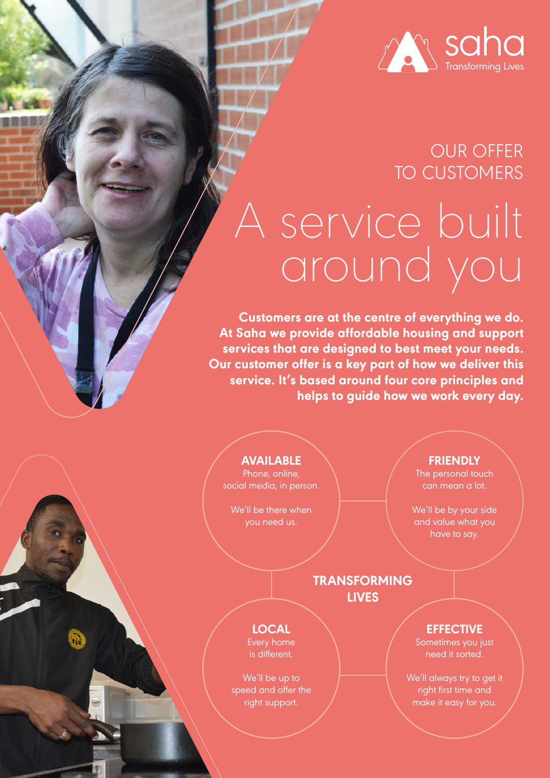

# I service built around you OUR OFFER TO CUSTOMERS

**Customers are at the centre of everything we do. At Saha we provide affordable housing and support services that are designed to best meet your needs. Our customer offer is a key part of how we deliver this service. It's based around four core principles and helps to guide how we work every day.**

**AVAILABLE**

Phone, online, social media, in person.

We'll be there when you need us.

**FRIENDLY**

The personal touch can mean a lot.

We'll be by your side and value what you have to say.

### **TRANSFORMING LIVES**

**LOCAL** Every home is different.

We'll be up to speed and offer the right support.

**EFFECTIVE**

Sometimes you just need it sorted.

We'll always try to get it right first time and make it easy for you.